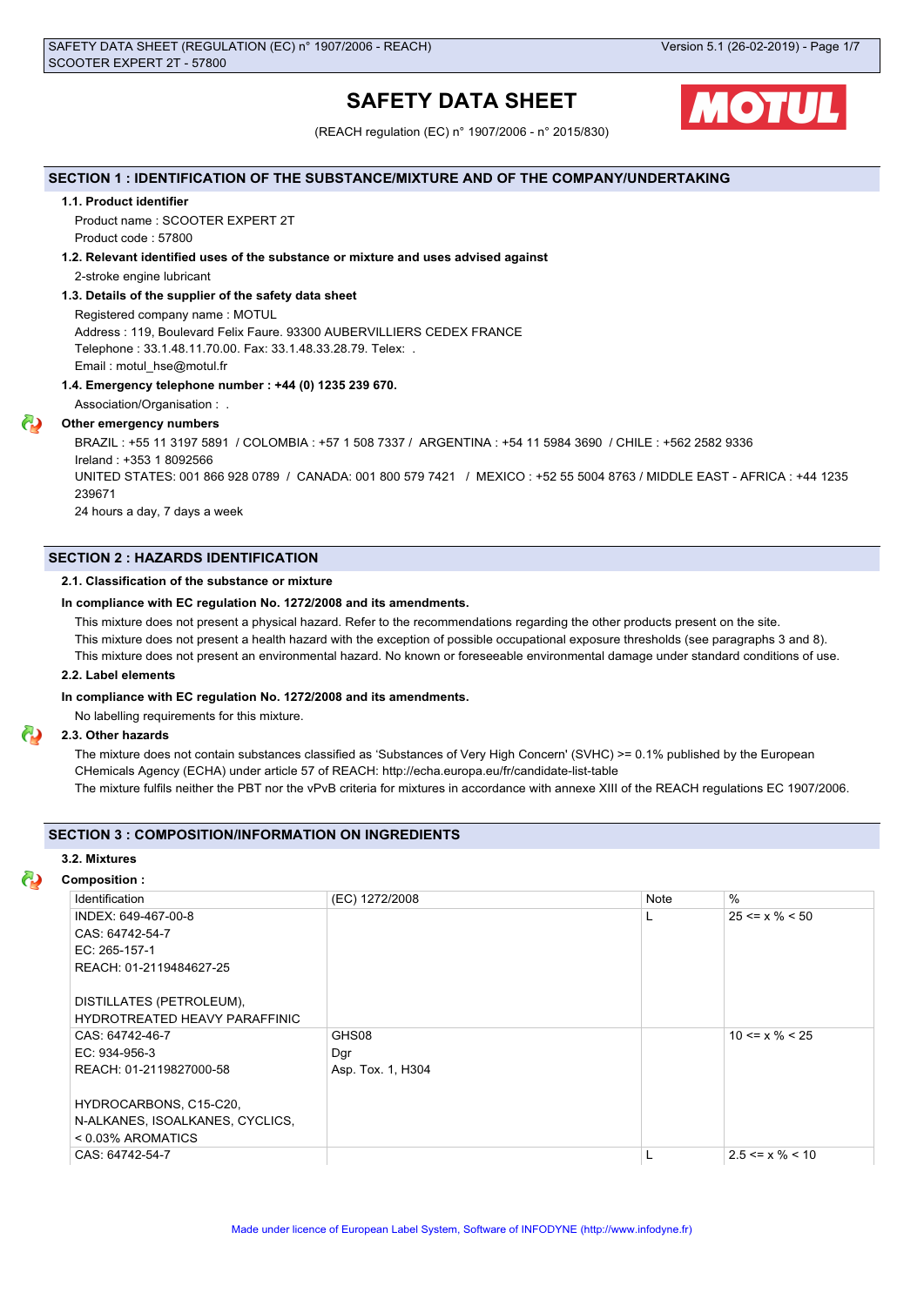# **SAFETY DATA SHEET**



(REACH regulation (EC) n° 1907/2006 - n° 2015/830)

## **SECTION 1 : IDENTIFICATION OF THE SUBSTANCE/MIXTURE AND OF THE COMPANY/UNDERTAKING**

#### **1.1. Product identifier**

Product name : SCOOTER EXPERT 2T Product code : 57800

#### **1.2. Relevant identified uses of the substance or mixture and uses advised against**

2-stroke engine lubricant

#### **1.3. Details of the supplier of the safety data sheet**

Registered company name : MOTUL Address : 119, Boulevard Felix Faure. 93300 AUBERVILLIERS CEDEX FRANCE Telephone : 33.1.48.11.70.00. Fax: 33.1.48.33.28.79. Telex: . Email : motul\_hse@motul.fr

#### **1.4. Emergency telephone number : +44 (0) 1235 239 670.**

Association/Organisation : .

# **Other emergency numbers**

BRAZIL : +55 11 3197 5891 / COLOMBIA : +57 1 508 7337 / ARGENTINA : +54 11 5984 3690 / CHILE : +562 2582 9336 Ireland : +353 1 8092566 UNITED STATES: 001 866 928 0789 / CANADA: 001 800 579 7421 / MEXICO : +52 55 5004 8763 / MIDDLE EAST - AFRICA : +44 1235 239671 24 hours a day, 7 days a week

# **SECTION 2 : HAZARDS IDENTIFICATION**

# **2.1. Classification of the substance or mixture**

#### **In compliance with EC regulation No. 1272/2008 and its amendments.**

This mixture does not present a physical hazard. Refer to the recommendations regarding the other products present on the site.

This mixture does not present a health hazard with the exception of possible occupational exposure thresholds (see paragraphs 3 and 8).

This mixture does not present an environmental hazard. No known or foreseeable environmental damage under standard conditions of use.

#### **2.2. Label elements**

#### **In compliance with EC regulation No. 1272/2008 and its amendments.**

No labelling requirements for this mixture.

## **2.3. Other hazards**

The mixture does not contain substances classified as 'Substances of Very High Concern' (SVHC) >= 0.1% published by the European CHemicals Agency (ECHA) under article 57 of REACH: http://echa.europa.eu/fr/candidate-list-table The mixture fulfils neither the PBT nor the vPvB criteria for mixtures in accordance with annexe XIII of the REACH regulations EC 1907/2006.

## **SECTION 3 : COMPOSITION/INFORMATION ON INGREDIENTS**

#### **3.2. Mixtures**

#### **Composition :**

| Identification                       | (EC) 1272/2008    | Note | $\frac{0}{0}$         |
|--------------------------------------|-------------------|------|-----------------------|
| INDEX: 649-467-00-8                  |                   | L    | $25 \le x \% \le 50$  |
| CAS: 64742-54-7                      |                   |      |                       |
| EC: 265-157-1                        |                   |      |                       |
| REACH: 01-2119484627-25              |                   |      |                       |
|                                      |                   |      |                       |
| DISTILLATES (PETROLEUM),             |                   |      |                       |
| <b>HYDROTREATED HEAVY PARAFFINIC</b> |                   |      |                       |
| CAS: 64742-46-7                      | GHS08             |      | $10 \le x \% \le 25$  |
| EC: 934-956-3                        | Dgr               |      |                       |
| REACH: 01-2119827000-58              | Asp. Tox. 1, H304 |      |                       |
|                                      |                   |      |                       |
| HYDROCARBONS, C15-C20,               |                   |      |                       |
| N-ALKANES, ISOALKANES, CYCLICS,      |                   |      |                       |
| < 0.03% AROMATICS                    |                   |      |                       |
| CAS: 64742-54-7                      |                   |      | $2.5 \le x \% \le 10$ |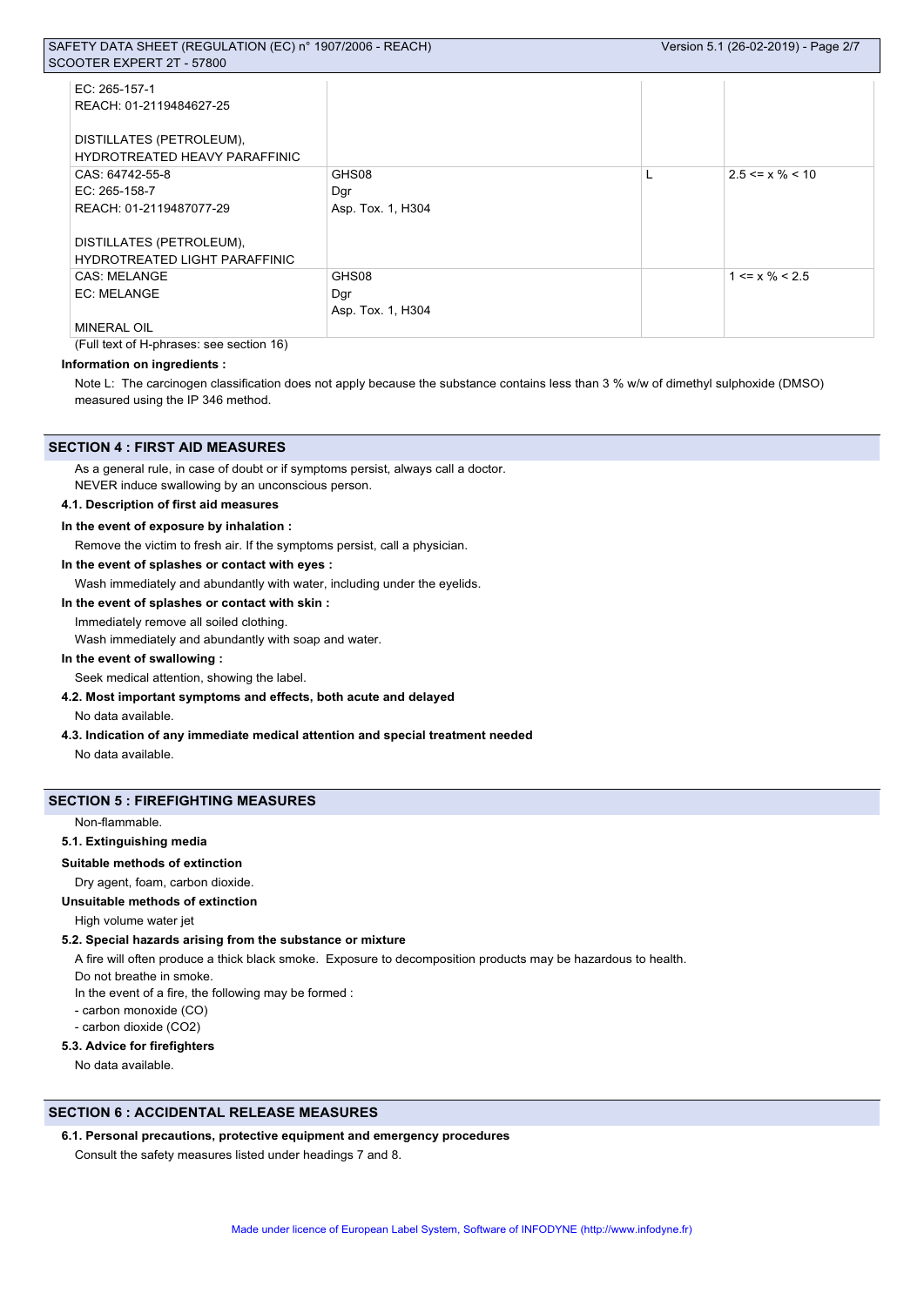| EC: 265-157-1                        |                   |   |                       |
|--------------------------------------|-------------------|---|-----------------------|
| REACH: 01-2119484627-25              |                   |   |                       |
|                                      |                   |   |                       |
| DISTILLATES (PETROLEUM),             |                   |   |                       |
| HYDROTREATED HEAVY PARAFFINIC        |                   |   |                       |
| CAS: 64742-55-8                      | GHS08             | L | $2.5 \le x \% \le 10$ |
| $EC: 265-158-7$                      | Dgr               |   |                       |
| REACH: 01-2119487077-29              | Asp. Tox. 1, H304 |   |                       |
|                                      |                   |   |                       |
| DISTILLATES (PETROLEUM),             |                   |   |                       |
| <b>HYDROTREATED LIGHT PARAFFINIC</b> |                   |   |                       |
| <b>CAS: MELANGE</b>                  | GHS08             |   | $1 \le x \% \le 2.5$  |
| EC: MELANGE                          | Dgr               |   |                       |
|                                      | Asp. Tox. 1, H304 |   |                       |
| <b>MINERAL OIL</b>                   |                   |   |                       |

(Full text of H-phrases: see section 16)

## **Information on ingredients :**

Note L: The carcinogen classification does not apply because the substance contains less than 3 % w/w of dimethyl sulphoxide (DMSO) measured using the IP 346 method.

#### **SECTION 4 : FIRST AID MEASURES**

As a general rule, in case of doubt or if symptoms persist, always call a doctor.

NEVER induce swallowing by an unconscious person.

# **4.1. Description of first aid measures**

#### **In the event of exposure by inhalation :**

Remove the victim to fresh air. If the symptoms persist, call a physician.

## **In the event of splashes or contact with eyes :**

Wash immediately and abundantly with water, including under the eyelids.

#### **In the event of splashes or contact with skin :**

Immediately remove all soiled clothing.

Wash immediately and abundantly with soap and water.

#### **In the event of swallowing :**

Seek medical attention, showing the label.

## **4.2. Most important symptoms and effects, both acute and delayed**

No data available.

**4.3. Indication of any immediate medical attention and special treatment needed**

No data available.

# **SECTION 5 : FIREFIGHTING MEASURES**

#### Non-flammable.

**5.1. Extinguishing media**

#### **Suitable methods of extinction**

Dry agent, foam, carbon dioxide.

#### **Unsuitable methods of extinction**

High volume water jet

#### **5.2. Special hazards arising from the substance or mixture**

A fire will often produce a thick black smoke. Exposure to decomposition products may be hazardous to health.

Do not breathe in smoke.

- In the event of a fire, the following may be formed :
- carbon monoxide (CO)

- carbon dioxide (CO2)

# **5.3. Advice for firefighters**

No data available.

# **SECTION 6 : ACCIDENTAL RELEASE MEASURES**

#### **6.1. Personal precautions, protective equipment and emergency procedures**

Consult the safety measures listed under headings 7 and 8.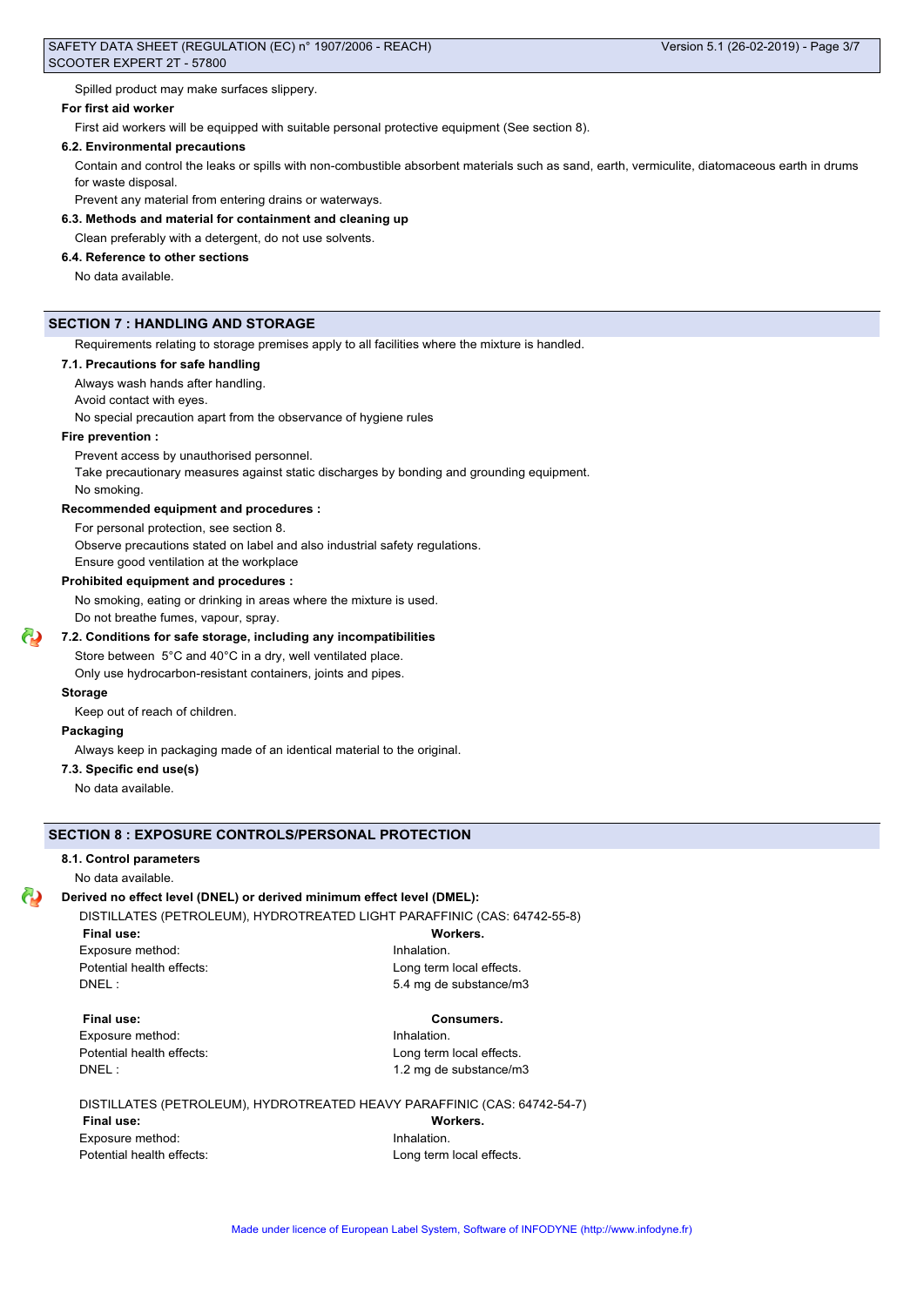Spilled product may make surfaces slippery.

## **For first aid worker**

First aid workers will be equipped with suitable personal protective equipment (See section 8).

#### **6.2. Environmental precautions**

Contain and control the leaks or spills with non-combustible absorbent materials such as sand, earth, vermiculite, diatomaceous earth in drums for waste disposal.

Prevent any material from entering drains or waterways.

# **6.3. Methods and material for containment and cleaning up**

Clean preferably with a detergent, do not use solvents.

# **6.4. Reference to other sections**

No data available.

# **SECTION 7 : HANDLING AND STORAGE**

Requirements relating to storage premises apply to all facilities where the mixture is handled.

## **7.1. Precautions for safe handling**

Always wash hands after handling.

Avoid contact with eyes.

No special precaution apart from the observance of hygiene rules

## **Fire prevention :**

Prevent access by unauthorised personnel.

Take precautionary measures against static discharges by bonding and grounding equipment.

No smoking.

#### **Recommended equipment and procedures :**

For personal protection, see section 8.

Observe precautions stated on label and also industrial safety regulations.

Ensure good ventilation at the workplace

# **Prohibited equipment and procedures :**

No smoking, eating or drinking in areas where the mixture is used. Do not breathe fumes, vapour, spray.

# **7.2. Conditions for safe storage, including any incompatibilities**

Store between 5°C and 40°C in a dry, well ventilated place.

Only use hydrocarbon-resistant containers, joints and pipes.

# **Storage**

Keep out of reach of children.

#### **Packaging**

Always keep in packaging made of an identical material to the original.

#### **7.3. Specific end use(s)**

No data available.

# **SECTION 8 : EXPOSURE CONTROLS/PERSONAL PROTECTION**

#### **8.1. Control parameters**

No data available.

## **Derived no effect level (DNEL) or derived minimum effect level (DMEL):**

DISTILLATES (PETROLEUM), HYDROTREATED LIGHT PARAFFINIC (CAS: 64742-55-8)

**Final use: Workers.** Exposure method: **Inhalation** 

Potential health effects: <br>
Long term local effects. DNEL : 5.4 mg de substance/m3

#### **Final use: Consumers.**

Exposure method: **Inhalation** 

Potential health effects: <br>
Long term local effects. DNEL : 1.2 mg de substance/m3

#### DISTILLATES (PETROLEUM), HYDROTREATED HEAVY PARAFFINIC (CAS: 64742-54-7)

**Final use: Workers.** Exposure method: **Inhalation** Potential health effects: Long term local effects.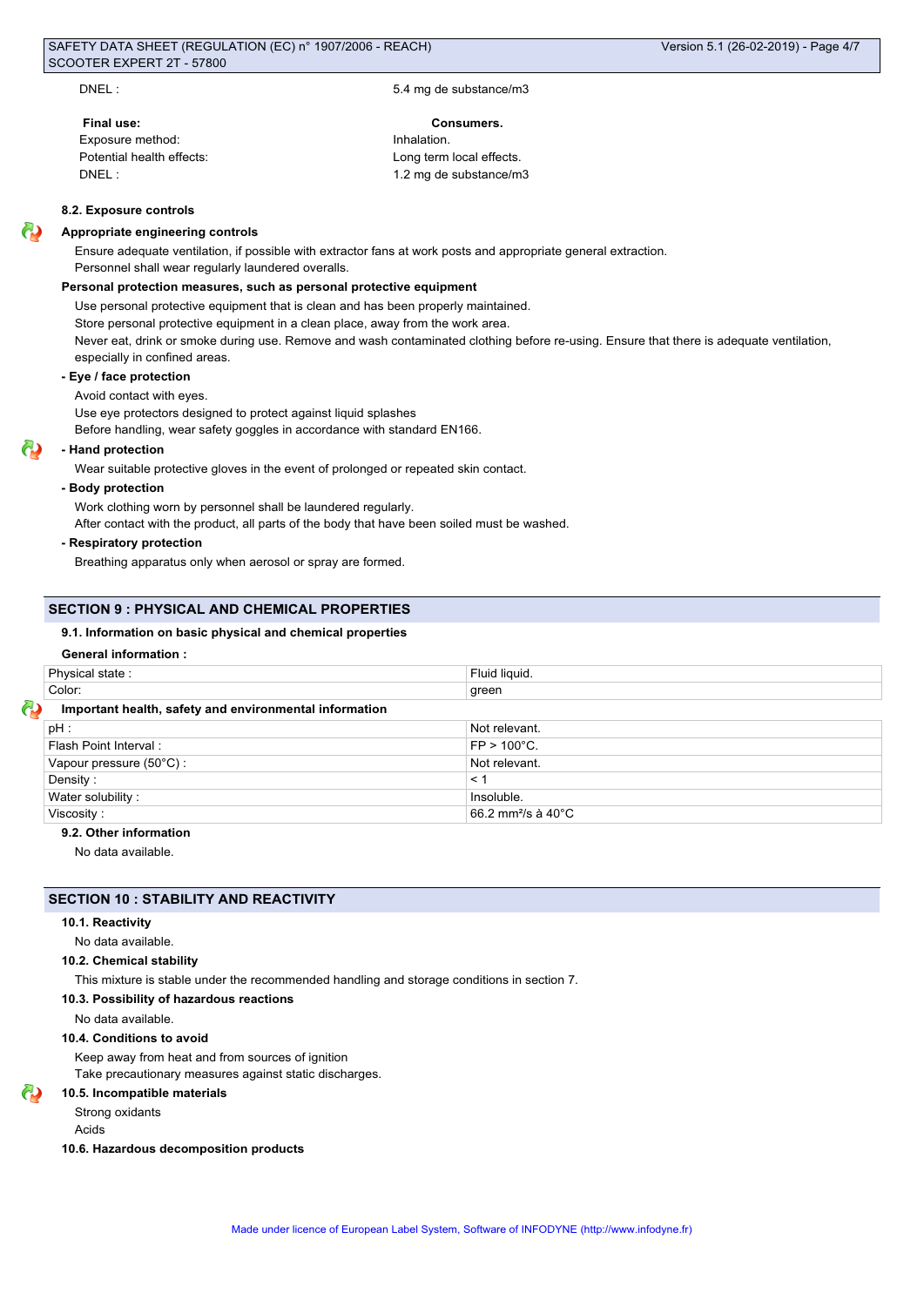DNEL : 5.4 mg de substance/m3

# **Final use: Consumers.**

Exposure method: **Inhalation** DNEL : 1.2 mg de substance/m3

Potential health effects: Long term local effects.

#### **8.2. Exposure controls**

#### **Appropriate engineering controls**

Ensure adequate ventilation, if possible with extractor fans at work posts and appropriate general extraction. Personnel shall wear regularly laundered overalls.

## **Personal protection measures, such as personal protective equipment**

Use personal protective equipment that is clean and has been properly maintained. Store personal protective equipment in a clean place, away from the work area. Never eat, drink or smoke during use. Remove and wash contaminated clothing before re-using. Ensure that there is adequate ventilation, especially in confined areas.

#### **- Eye / face protection**

Avoid contact with eyes.

Use eye protectors designed to protect against liquid splashes

Before handling, wear safety goggles in accordance with standard EN166.

#### **- Hand protection**

Wear suitable protective gloves in the event of prolonged or repeated skin contact.

#### **- Body protection**

Work clothing worn by personnel shall be laundered regularly.

After contact with the product, all parts of the body that have been soiled must be washed.

#### **- Respiratory protection**

Breathing apparatus only when aerosol or spray are formed.

#### **SECTION 9 : PHYSICAL AND CHEMICAL PROPERTIES**

#### **9.1. Information on basic physical and chemical properties**

#### **General information :**

| Physical state:                                        | Fluid liquid.                             |  |
|--------------------------------------------------------|-------------------------------------------|--|
| Color:                                                 | green                                     |  |
| Important health, safety and environmental information |                                           |  |
| pH:                                                    | Not relevant.                             |  |
| Flash Point Interval:                                  | $FP > 100^{\circ}C$ .                     |  |
| Vapour pressure (50°C) :                               | Not relevant.                             |  |
| Density:                                               | $\leq 1$                                  |  |
| Water solubility:                                      | Insoluble.                                |  |
| Viscosity:                                             | 66.2 mm <sup>2</sup> /s à 40 $^{\circ}$ C |  |

# **9.2. Other information**

No data available.

#### **SECTION 10 : STABILITY AND REACTIVITY**

#### **10.1. Reactivity**

#### No data available.

#### **10.2. Chemical stability**

This mixture is stable under the recommended handling and storage conditions in section 7.

#### **10.3. Possibility of hazardous reactions**

No data available.

#### **10.4. Conditions to avoid**

Keep away from heat and from sources of ignition Take precautionary measures against static discharges.

#### **10.5. Incompatible materials**

Strong oxidants

Acids

#### **10.6. Hazardous decomposition products**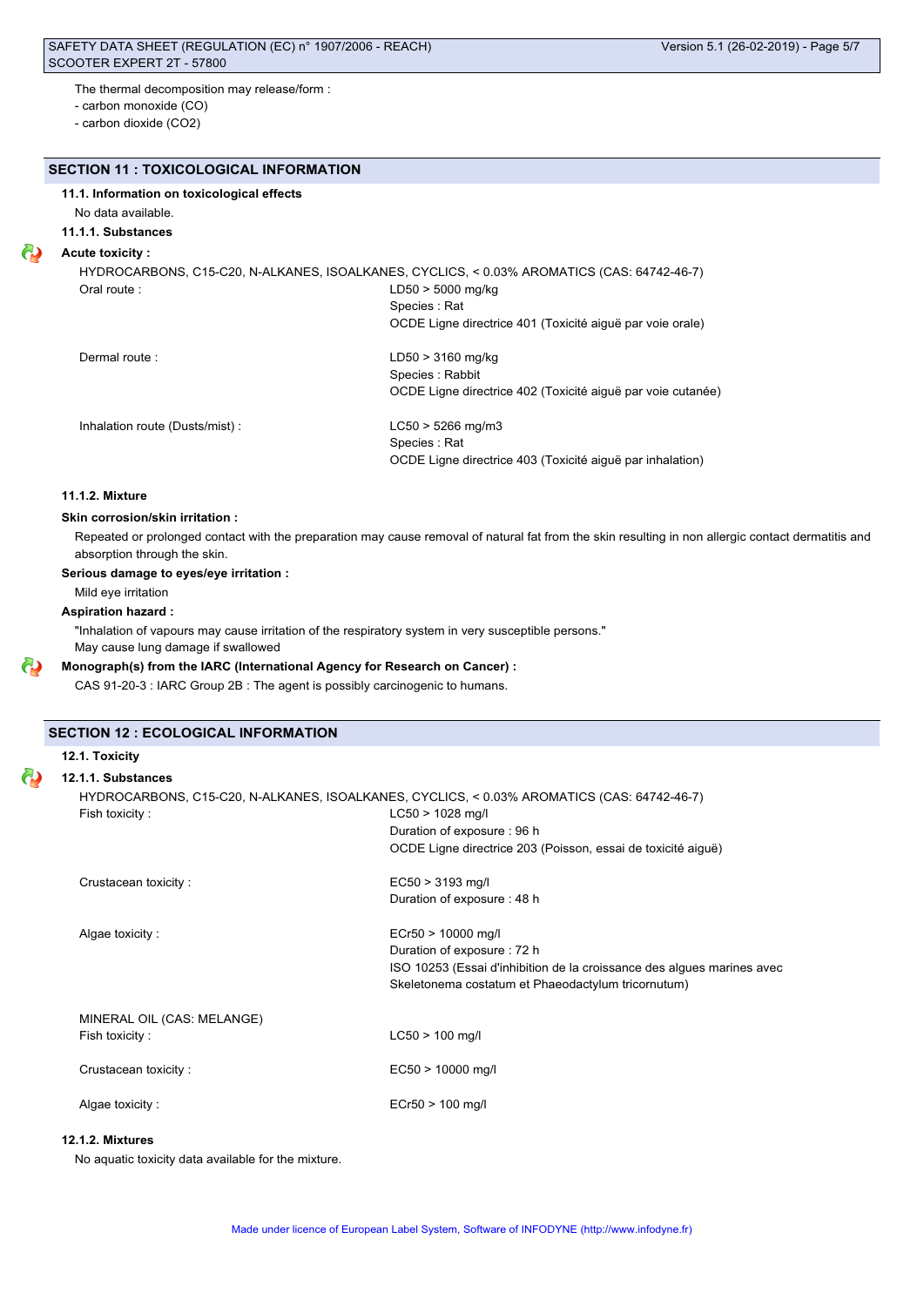The thermal decomposition may release/form :

- carbon monoxide (CO)

- carbon dioxide (CO2)

# **SECTION 11 : TOXICOLOGICAL INFORMATION**

# **11.1. Information on toxicological effects**

No data available.

# **11.1.1. Substances**

# **Acute toxicity :**

HYDROCARBONS, C15-C20, N-ALKANES, ISOALKANES, CYCLICS, < 0.03% AROMATICS (CAS: 64742-46-7) Oral route : LD50 > 5000 mg/kg

> Species : Rat OCDE Ligne directrice 401 (Toxicité aiguë par voie orale)

Dermal route : LD50 > 3160 mg/kg Species : Rabbit OCDE Ligne directrice 402 (Toxicité aiguë par voie cutanée)

Inhalation route (Dusts/mist) : LC50 > 5266 mg/m3

Species : Rat OCDE Ligne directrice 403 (Toxicité aiguë par inhalation)

# **11.1.2. Mixture**

# **Skin corrosion/skin irritation :**

Repeated or prolonged contact with the preparation may cause removal of natural fat from the skin resulting in non allergic contact dermatitis and absorption through the skin.

#### **Serious damage to eyes/eye irritation :**

Mild eye irritation

## **Aspiration hazard :**

"Inhalation of vapours may cause irritation of the respiratory system in very susceptible persons." May cause lung damage if swallowed

# **Monograph(s) from the IARC (International Agency for Research on Cancer) :**

CAS 91-20-3 : IARC Group 2B : The agent is possibly carcinogenic to humans.

## **SECTION 12 : ECOLOGICAL INFORMATION**

**12.1. Toxicity**

## **12.1.1. Substances**

| HYDROCARBONS, C15-C20, N-ALKANES, ISOALKANES, CYCLICS, < 0.03% AROMATICS (CAS: 64742-46-7) |                                                                        |  |
|--------------------------------------------------------------------------------------------|------------------------------------------------------------------------|--|
| Fish toxicity:                                                                             | $LC50 > 1028$ mg/l                                                     |  |
|                                                                                            | Duration of exposure: 96 h                                             |  |
|                                                                                            | OCDE Ligne directrice 203 (Poisson, essai de toxicité aiguë)           |  |
| Crustacean toxicity:                                                                       | $EC50 > 3193$ mg/l                                                     |  |
|                                                                                            | Duration of exposure: 48 h                                             |  |
| Algae toxicity:                                                                            | $ECr50 > 10000$ mg/l                                                   |  |
|                                                                                            | Duration of exposure: 72 h                                             |  |
|                                                                                            | ISO 10253 (Essai d'inhibition de la croissance des algues marines avec |  |
|                                                                                            | Skeletonema costatum et Phaeodactylum tricornutum)                     |  |
| MINERAL OIL (CAS: MELANGE)                                                                 |                                                                        |  |
| Fish toxicity:                                                                             | $LC50 > 100$ mg/l                                                      |  |
| Crustacean toxicity:                                                                       | $EC50 > 10000$ mg/l                                                    |  |
|                                                                                            |                                                                        |  |
| Algae toxicity:                                                                            | $ECr50 > 100$ mg/l                                                     |  |

# **12.1.2. Mixtures**

No aquatic toxicity data available for the mixture.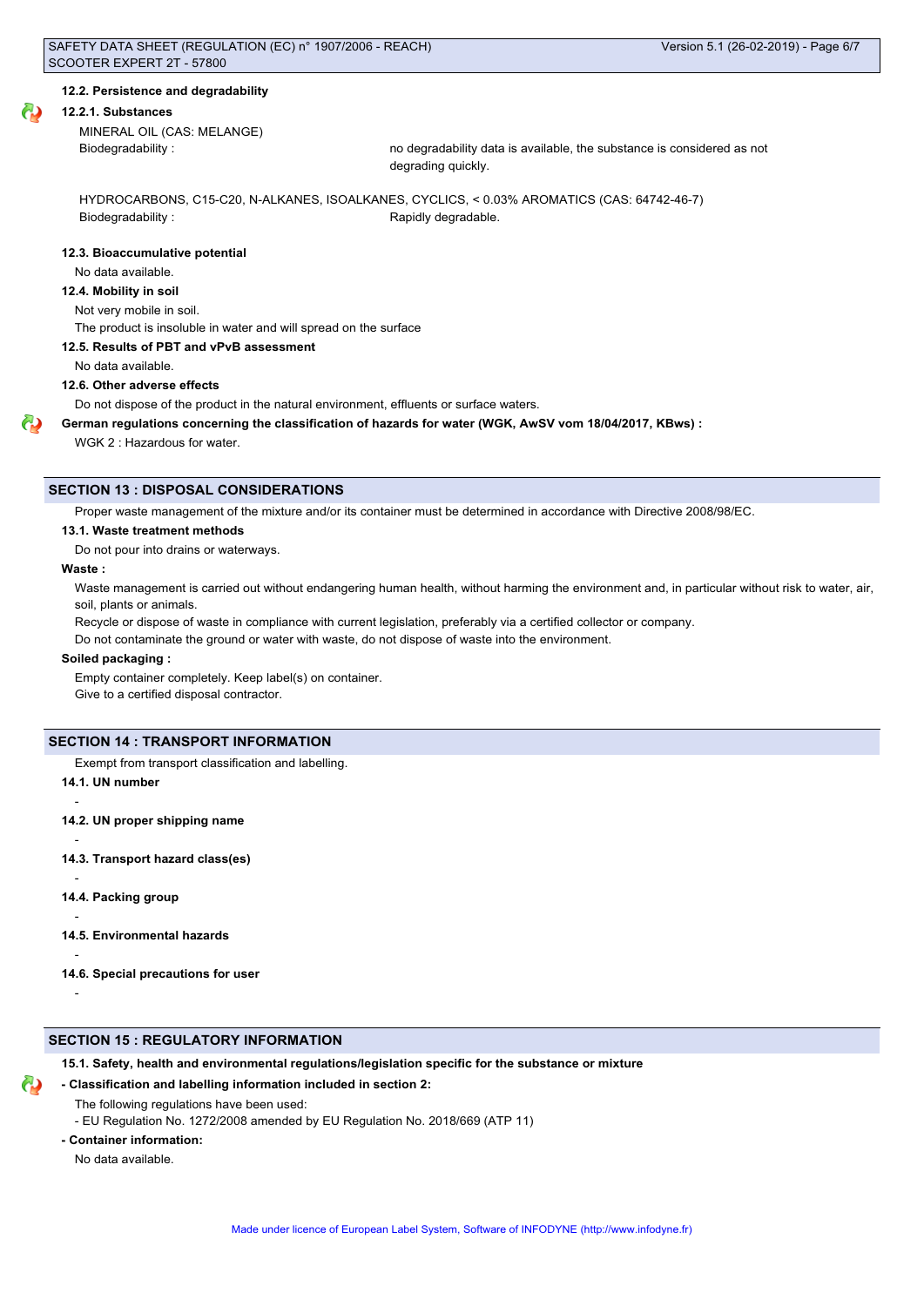#### **12.2. Persistence and degradability**

#### **12.2.1. Substances**

MINERAL OIL (CAS: MELANGE)

Biodegradability : no degradability data is available, the substance is considered as not degrading quickly.

HYDROCARBONS, C15-C20, N-ALKANES, ISOALKANES, CYCLICS, < 0.03% AROMATICS (CAS: 64742-46-7) Biodegradability : The Contract of the Rapidly degradable.

#### **12.3. Bioaccumulative potential**

No data available.

## **12.4. Mobility in soil**

Not very mobile in soil.

The product is insoluble in water and will spread on the surface

#### **12.5. Results of PBT and vPvB assessment**

No data available.

**12.6. Other adverse effects**

Do not dispose of the product in the natural environment, effluents or surface waters.

**German regulations concerning the classification of hazards for water (WGK, AwSV vom 18/04/2017, KBws) :**

WGK 2 : Hazardous for water.

## **SECTION 13 : DISPOSAL CONSIDERATIONS**

Proper waste management of the mixture and/or its container must be determined in accordance with Directive 2008/98/EC.

#### **13.1. Waste treatment methods**

Do not pour into drains or waterways.

#### **Waste :**

Waste management is carried out without endangering human health, without harming the environment and, in particular without risk to water, air, soil, plants or animals.

Recycle or dispose of waste in compliance with current legislation, preferably via a certified collector or company.

Do not contaminate the ground or water with waste, do not dispose of waste into the environment.

#### **Soiled packaging :**

Empty container completely. Keep label(s) on container. Give to a certified disposal contractor.

#### **SECTION 14 : TRANSPORT INFORMATION**

Exempt from transport classification and labelling.

**14.1. UN number**

-

-

-

-

-

**14.2. UN proper shipping name**

**14.3. Transport hazard class(es)**

**14.4. Packing group**

**14.5. Environmental hazards**

**14.6. Special precautions for user**

-

# **SECTION 15 : REGULATORY INFORMATION**

**15.1. Safety, health and environmental regulations/legislation specific for the substance or mixture**

## **- Classification and labelling information included in section 2:**

- The following regulations have been used:
- EU Regulation No. 1272/2008 amended by EU Regulation No. 2018/669 (ATP 11)
- **Container information:**

No data available.